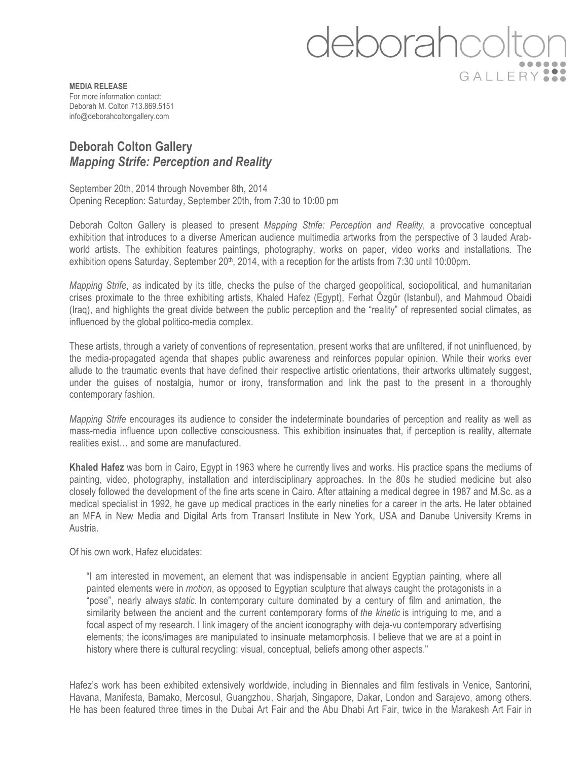eborahcc GALLERY

**MEDIA RELEASE** For more information contact: Deborah M. Colton 713.869.5151 info@deborahcoltongallery.com

## **Deborah Colton Gallery**  *Mapping Strife: Perception and Reality*

September 20th, 2014 through November 8th, 2014 Opening Reception: Saturday, September 20th, from 7:30 to 10:00 pm

Deborah Colton Gallery is pleased to present *Mapping Strife: Perception and Reality*, a provocative conceptual exhibition that introduces to a diverse American audience multimedia artworks from the perspective of 3 lauded Arabworld artists. The exhibition features paintings, photography, works on paper, video works and installations. The exhibition opens Saturday, September 20<sup>th</sup>, 2014, with a reception for the artists from 7:30 until 10:00pm.

*Mapping Strife*, as indicated by its title, checks the pulse of the charged geopolitical, sociopolitical, and humanitarian crises proximate to the three exhibiting artists, Khaled Hafez (Egypt), Ferhat Özgür (Istanbul), and Mahmoud Obaidi (Iraq), and highlights the great divide between the public perception and the "reality" of represented social climates, as influenced by the global politico-media complex.

These artists, through a variety of conventions of representation, present works that are unfiltered, if not uninfluenced, by the media-propagated agenda that shapes public awareness and reinforces popular opinion. While their works ever allude to the traumatic events that have defined their respective artistic orientations, their artworks ultimately suggest, under the guises of nostalgia, humor or irony, transformation and link the past to the present in a thoroughly contemporary fashion.

*Mapping Strife* encourages its audience to consider the indeterminate boundaries of perception and reality as well as mass-media influence upon collective consciousness. This exhibition insinuates that, if perception is reality, alternate realities exist… and some are manufactured.

**Khaled Hafez** was born in Cairo, Egypt in 1963 where he currently lives and works. His practice spans the mediums of painting, video, photography, installation and interdisciplinary approaches. In the 80s he studied medicine but also closely followed the development of the fine arts scene in Cairo. After attaining a medical degree in 1987 and M.Sc. as a medical specialist in 1992, he gave up medical practices in the early nineties for a career in the arts. He later obtained an MFA in New Media and Digital Arts from Transart Institute in New York, USA and Danube University Krems in Austria.

Of his own work, Hafez elucidates:

"I am interested in movement, an element that was indispensable in ancient Egyptian painting, where all painted elements were in *motion*, as opposed to Egyptian sculpture that always caught the protagonists in a "pose", nearly always *static*. In contemporary culture dominated by a century of film and animation, the similarity between the ancient and the current contemporary forms of *the kinetic* is intriguing to me, and a focal aspect of my research. I link imagery of the ancient iconography with deja-vu contemporary advertising elements; the icons/images are manipulated to insinuate metamorphosis. I believe that we are at a point in history where there is cultural recycling: visual, conceptual, beliefs among other aspects."

Hafez's work has been exhibited extensively worldwide, including in Biennales and film festivals in Venice, Santorini, Havana, Manifesta, Bamako, Mercosul, Guangzhou, Sharjah, Singapore, Dakar, London and Sarajevo, among others. He has been featured three times in the Dubai Art Fair and the Abu Dhabi Art Fair, twice in the Marakesh Art Fair in